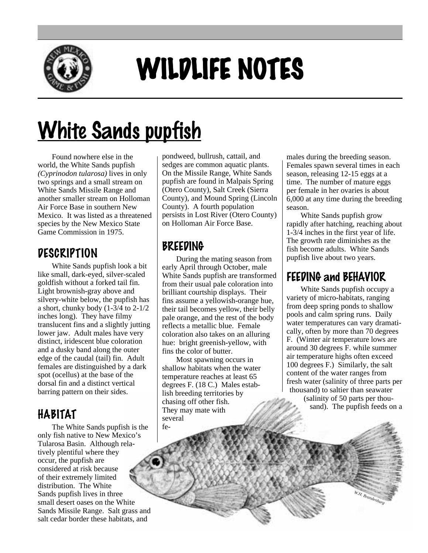

# WILDLIFE NOTES

# White Sands pupfish

Found nowhere else in the world, the White Sands pupfish *(Cyprinodon tularosa)* lives in only two springs and a small stream on White Sands Missile Range and another smaller stream on Holloman Air Force Base in southern New Mexico. It was listed as a threatened species by the New Mexico State Game Commission in 1975.

#### **DESCRIPTION**

White Sands pupfish look a bit like small, dark-eyed, silver-scaled goldfish without a forked tail fin. Light brownish-gray above and silvery-white below, the pupfish has a short, chunky body (1-3/4 to 2-1/2 inches long). They have filmy translucent fins and a slightly jutting lower jaw. Adult males have very distinct, iridescent blue coloration and a dusky band along the outer edge of the caudal (tail) fin. Adult females are distinguished by a dark spot (ocellus) at the base of the dorsal fin and a distinct vertical barring pattern on their sides.

## HABITAT

The White Sands pupfish is the only fish native to New Mexico's Tularosa Basin. Although relatively plentiful where they occur, the pupfish are considered at risk because of their extremely limited distribution. The White Sands pupfish lives in three small desert oases on the White Sands Missile Range. Salt grass and salt cedar border these habitats, and

pondweed, bullrush, cattail, and sedges are common aquatic plants. On the Missile Range, White Sands pupfish are found in Malpais Spring (Otero County), Salt Creek (Sierra County), and Mound Spring (Lincoln County). A fourth population persists in Lost River (Otero County) on Holloman Air Force Base.

### BREEDING

During the mating season from early April through October, male White Sands pupfish are transformed from their usual pale coloration into brilliant courtship displays. Their fins assume a yellowish-orange hue, their tail becomes yellow, their belly pale orange, and the rest of the body reflects a metallic blue. Female coloration also takes on an alluring hue: bright greenish-yellow, with fins the color of butter.

Most spawning occurs in shallow habitats when the water temperature reaches at least 65 degrees F. (18 C.) Males establish breeding territories by chasing off other fish. They may mate with several fe-

males during the breeding season. Females spawn several times in each season, releasing 12-15 eggs at a time. The number of mature eggs per female in her ovaries is about 6,000 at any time during the breeding season.

White Sands pupfish grow rapidly after hatching, reaching about 1-3/4 inches in the first year of life. The growth rate diminishes as the fish become adults. White Sands pupfish live about two years.

#### FEEDING and BEHAVIOR

White Sands pupfish occupy a variety of micro-habitats, ranging from deep spring ponds to shallow pools and calm spring runs. Daily water temperatures can vary dramatically, often by more than 70 degrees F. (Winter air temperature lows are around 30 degrees F. while summer air temperature highs often exceed 100 degrees F.) Similarly, the salt content of the water ranges from fresh water (salinity of three parts per thousand) to saltier than seawater (salinity of 50 parts per thousand). The pupfish feeds on a

*W.H. Brandenburg*